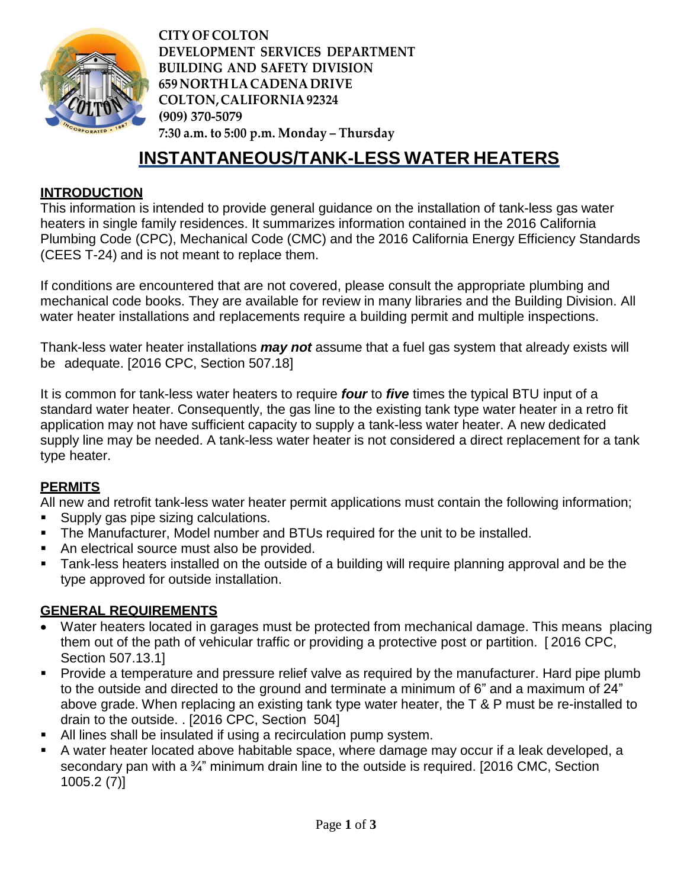

**CITY OF COLTON DEVELOPMENT SERVICES DEPARTMENT BUILDING AND SAFETY DIVISION 659 NORTH LACADENA DRIVE COLTON,CALIFORNIA92324 (909) 370-5079 7:30 a.m. to 5:00 p.m. Monday – Thursday**

# **INSTANTANEOUS/TANK-LESS WATER HEATERS**

### **INTRODUCTION**

This information is intended to provide general guidance on the installation of tank-less gas water heaters in single family residences. It summarizes information contained in the 2016 California Plumbing Code (CPC), Mechanical Code (CMC) and the 2016 California Energy Efficiency Standards (CEES T-24) and is not meant to replace them.

If conditions are encountered that are not covered, please consult the appropriate plumbing and mechanical code books. They are available for review in many libraries and the Building Division. All water heater installations and replacements require a building permit and multiple inspections.

Thank-less water heater installations *may not* assume that a fuel gas system that already exists will be adequate. [2016 CPC, Section 507.18]

It is common for tank-less water heaters to require *four* to *five* times the typical BTU input of a standard water heater. Consequently, the gas line to the existing tank type water heater in a retro fit application may not have sufficient capacity to supply a tank-less water heater. A new dedicated supply line may be needed. A tank-less water heater is not considered a direct replacement for a tank type heater.

### **PERMITS**

All new and retrofit tank-less water heater permit applications must contain the following information;

- Supply gas pipe sizing calculations.
- The Manufacturer, Model number and BTUs required for the unit to be installed.
- An electrical source must also be provided.
- Tank-less heaters installed on the outside of a building will require planning approval and be the type approved for outside installation.

### **GENERAL REQUIREMENTS**

- Water heaters located in garages must be protected from mechanical damage. This means placing them out of the path of vehicular traffic or providing a protective post or partition. [ 2016 CPC, Section 507.13.1]
- Provide a temperature and pressure relief valve as required by the manufacturer. Hard pipe plumb to the outside and directed to the ground and terminate a minimum of 6" and a maximum of 24" above grade. When replacing an existing tank type water heater, the T & P must be re-installed to drain to the outside. . [2016 CPC, Section 504]
- All lines shall be insulated if using a recirculation pump system.
- A water heater located above habitable space, where damage may occur if a leak developed, a secondary pan with a <sup>3</sup>/<sub>4</sub>" minimum drain line to the outside is required. [2016 CMC, Section 1005.2 (7)]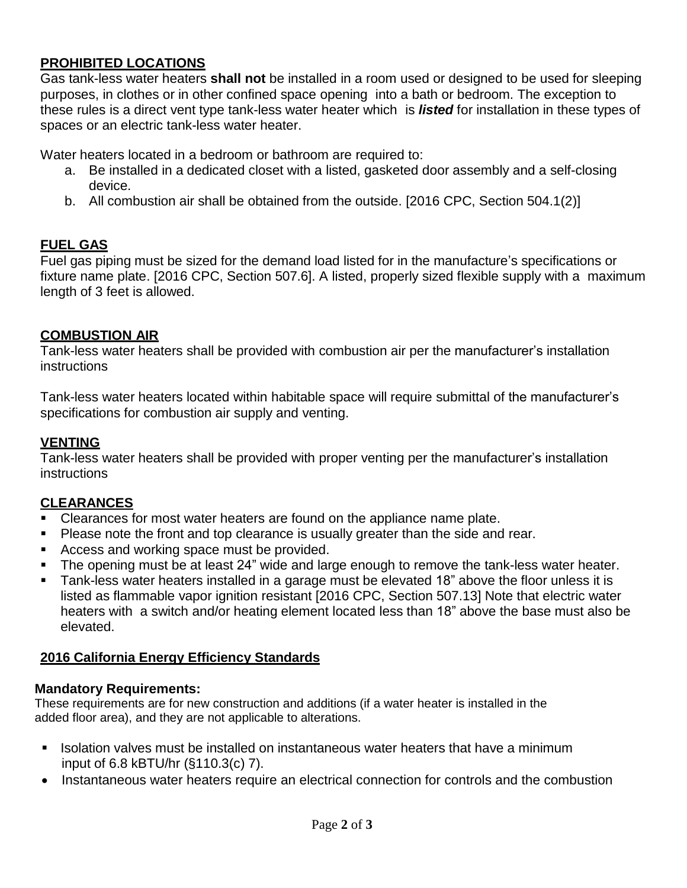### **PROHIBITED LOCATIONS**

Gas tank-less water heaters **shall not** be installed in a room used or designed to be used for sleeping purposes, in clothes or in other confined space opening into a bath or bedroom. The exception to these rules is a direct vent type tank-less water heater which is *listed* for installation in these types of spaces or an electric tank-less water heater.

Water heaters located in a bedroom or bathroom are required to:

- a. Be installed in a dedicated closet with a listed, gasketed door assembly and a self-closing device.
- b. All combustion air shall be obtained from the outside. [2016 CPC, Section 504.1(2)]

## **FUEL GAS**

Fuel gas piping must be sized for the demand load listed for in the manufacture's specifications or fixture name plate. [2016 CPC, Section 507.6]. A listed, properly sized flexible supply with a maximum length of 3 feet is allowed.

### **COMBUSTION AIR**

Tank-less water heaters shall be provided with combustion air per the manufacturer's installation instructions

Tank-less water heaters located within habitable space will require submittal of the manufacturer's specifications for combustion air supply and venting.

### **VENTING**

Tank-less water heaters shall be provided with proper venting per the manufacturer's installation instructions

## **CLEARANCES**

- Clearances for most water heaters are found on the appliance name plate.
- Please note the front and top clearance is usually greater than the side and rear.
- **Access and working space must be provided.**
- The opening must be at least 24" wide and large enough to remove the tank-less water heater.
- Tank-less water heaters installed in a garage must be elevated 18" above the floor unless it is listed as flammable vapor ignition resistant [2016 CPC, Section 507.13] Note that electric water heaters with a switch and/or heating element located less than 18" above the base must also be elevated.

### **2016 California Energy Efficiency Standards**

### **Mandatory Requirements:**

These requirements are for new construction and additions (if a water heater is installed in the added floor area), and they are not applicable to alterations.

- **If alsolation valves must be installed on instantaneous water heaters that have a minimum** input of 6.8 kBTU/hr (§110.3(c) 7).
- Instantaneous water heaters require an electrical connection for controls and the combustion